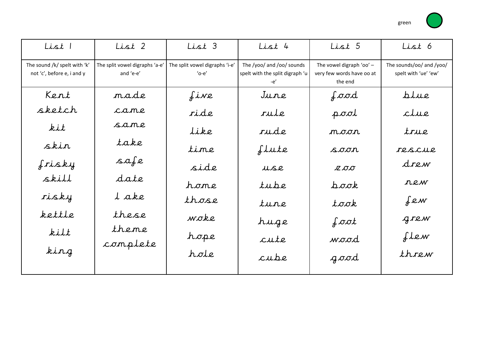

| List 1                                                     | List 2                                      | List 3                                        | List 4                                                              | List 5                                                           | List 6                                           |
|------------------------------------------------------------|---------------------------------------------|-----------------------------------------------|---------------------------------------------------------------------|------------------------------------------------------------------|--------------------------------------------------|
| The sound /k/ spelt with 'k'<br>not 'c', before e, i and y | The split vowel digraphs 'a-e'<br>and 'e-e' | The split vowel digraphs 'i-e'<br>$'$ o-e $'$ | The /yoo/ and /oo/ sounds<br>spelt with the split digraph 'u<br>-e' | The vowel digraph 'oo' -<br>very few words have oo at<br>the end | The sounds/oo/ and /yoo/<br>spelt with 'ue' 'ew' |
| Kent                                                       | made                                        | five                                          | June                                                                | food                                                             | plue                                             |
| sketch                                                     | came                                        | ride                                          | rule                                                                | pool                                                             | clue                                             |
| kit                                                        | same                                        | Like                                          | rude                                                                | noor                                                             | true                                             |
| skin                                                       | take                                        | time                                          | flute                                                               | soon                                                             | rescue                                           |
| frisky                                                     | safe                                        | side                                          | use                                                                 | <b>Z OO</b>                                                      | drew                                             |
| skill                                                      | date                                        | home                                          | tube                                                                | pook                                                             | rew                                              |
| risky                                                      | l ake                                       | those                                         | tune                                                                | took                                                             | few                                              |
| kettle                                                     | these                                       | woke                                          | huge                                                                | $\int \sigma \sigma t$                                           | grew                                             |
| kilt                                                       | theme                                       | hope                                          | cute                                                                | wood                                                             | Llew                                             |
| king                                                       | complete                                    | hole                                          | cube                                                                | good                                                             | threw                                            |
|                                                            |                                             |                                               |                                                                     |                                                                  |                                                  |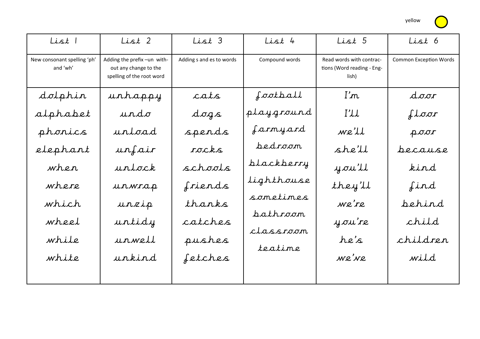yellow

| ist 5                                            | List 6                        |
|--------------------------------------------------|-------------------------------|
| rds with contrac-<br>ord reading - Eng-<br>lish) | <b>Common Exception Words</b> |

| List 1                                  | List 2                                                                            | List 3                   | $List$ 4       | List 5                                                          | List 6                        |
|-----------------------------------------|-----------------------------------------------------------------------------------|--------------------------|----------------|-----------------------------------------------------------------|-------------------------------|
| New consonant spelling 'ph'<br>and 'wh' | Adding the prefix -un with-<br>out any change to the<br>spelling of the root word | Adding s and es to words | Compound words | Read words with contrac-<br>tions (Word reading - Eng-<br>lish) | <b>Common Exception Words</b> |
| dolphin                                 | urhappy                                                                           | cats                     | football       | $\lim$                                                          | door                          |
| alphabet                                | undo                                                                              | dogs                     | playground     | I'LL                                                            | floor                         |
| phonics                                 | urtoad                                                                            | spends                   | farmyard       | we'll                                                           | poor                          |
| elephant                                | unfair                                                                            | rocks                    | bedroom        | she'll                                                          | pecause                       |
| when                                    | untock                                                                            | schools                  | blackberry     | you'll                                                          | kind                          |
| where                                   | urwrap                                                                            | friends                  | Lighthouse     | they'll                                                         | find                          |
| which                                   | urzip                                                                             | thanks                   | sometimes      | we're                                                           | pehind                        |
| wheel                                   | untidy                                                                            | catches                  | bathroom       | y ou're                                                         | child                         |
| while                                   | unwell                                                                            | pushes                   | classroom      | he's                                                            | children                      |
| white                                   | unkind                                                                            | fetches                  | teatime        | we've                                                           | wild                          |
|                                         |                                                                                   |                          |                |                                                                 |                               |
|                                         |                                                                                   |                          |                |                                                                 |                               |